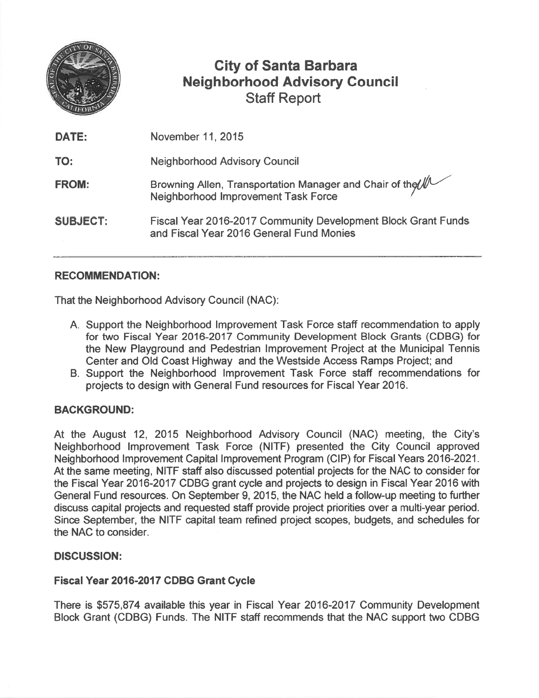

# City of Santa Barbara Neighborhood Advisory Council Staff Report

| November 11, 2015                                                                                         |
|-----------------------------------------------------------------------------------------------------------|
| <b>Neighborhood Advisory Council</b>                                                                      |
| Browning Allen, Transportation Manager and Chair of the MUCCON<br>Neighborhood Improvement Task Force     |
| Fiscal Year 2016-2017 Community Development Block Grant Funds<br>and Fiscal Year 2016 General Fund Monies |
|                                                                                                           |

# RECOMMENDATION:

That the Neighborhood Advisory Council (NAC):

- A. Support the Neighborhood Improvement Task Force staff recommendation to apply for two Fiscal Year 2016-2017 Community Development Block Grants (CDBG) for the New Playground and Pedestrian Improvement Project at the Municipal Tennis Center and Old Coast Highway and the Westside Access Ramps Project; and
- B. Support the Neighborhood Improvement Task Force staff recommendations for projects to design with General Fund resources for Fiscal Year 2016.

### BACKGROUND:

At the August 12, 2015 Neighborhood Advisory Council (NAC) meeting, the City's Neighborhood Improvement Task Force (NITF) presented the City Council approved Neighborhood Improvement Capital Improvement Program (CIP) for Fiscal Years 2016-2021. At the same meeting, NITF staff also discussed potential projects for the NAC to consider for the Fiscal Year 2016-2017 CDBG gran<sup>t</sup> cycle and projects to design in Fiscal Year 2016 with General Fund resources. On September 9, 2015, the NAC held <sup>a</sup> follow-up meeting to further discuss capital projects and requested staff provide project priorities over <sup>a</sup> multi-year period. Since September, the NITF capital team refined project scopes, budgets, and schedules for the NAC to consider.

### DISCUSSION:

### Fiscal Year 2016-2017 CDBG Grant Cycle

There is \$575,874 available this year in Fiscal Year 2016-2017 Community Development Block Grant (CDBG) Funds. The NITF staff recommends that the NAC suppor<sup>t</sup> two CDBG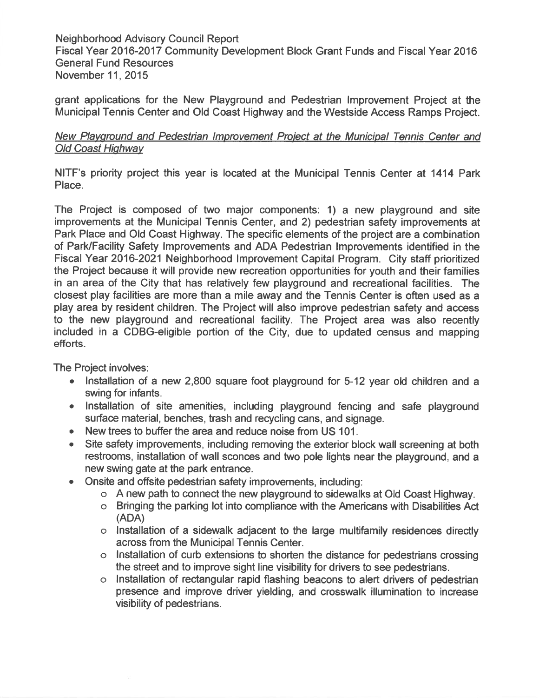Neighborhood Advisory Council Report Fiscal Year 2016-2017 Community Development Block Grant Funds and Fiscal Year 2016 General Fund Resources November11, 2015

gran<sup>t</sup> applications for the New Playground and Pedestrian Improvement Project at the Municipal Tennis Center and Old Coast Highway and the Westside Access Ramps Project.

#### New Playground and Pedestrian Improvement Project at the Municipal Tennis Center and Old Coast Highway

NITF's priority project this year is located at the Municipal Tennis Center at 1414 Park Place.

The Project is composed of two major components: 1) <sup>a</sup> new playground and site improvements at the Municipal Tennis Center, and 2) pedestrian safety improvements at Park Place and Old Coast Highway. The specific elements of the project are <sup>a</sup> combination of Park/Facility Safety Improvements and ADA Pedestrian Improvements identified in the Fiscal Year 2016-2021 Neighborhood Improvement Capital Program. City staff prioritized the Project because it will provide new recreation opportunities for youth and their families in an area of the City that has relatively few playground and recreational facilities. The closest play facilities are more than <sup>a</sup> mile away and the Tennis Center is often used as <sup>a</sup> <sup>p</sup>lay area by resident children. The Project will also improve pedestrian safety and access to the new playground and recreational facility. The Project area was also recently included in <sup>a</sup> CDBG-eligible portion of the City, due to updated census and mapping efforts.

The Project involves:

- • Installation of <sup>a</sup> new 2,800 square foot playground for 5-12 year old children and <sup>a</sup> swing for infants.
- Installation of site amenities, including playground fencing and safe playground surface material, benches, trash and recycling cans, and signage.
- •New trees to buffer the area and reduce noise from US 101.
- • Site safety improvements, including removing the exterior block wall screening at both restrooms, installation of wall sconces and two pole lights near the playground, and <sup>a</sup> new swing gate at the park entrance.
- $\bullet$  Onsite and offsite pedestrian safety improvements, including:
	- <sup>o</sup> A new path to connect the new playground to sidewalks at Old Coast Highway.
	- <sup>o</sup> Bringing the parking lot into compliance with the Americans with Disabilities Act (ADA)
	- <sup>o</sup> Installation of <sup>a</sup> sidewalk adjacent to the large multifamily residences directly across from the Municipal Tennis Center.
	- <sup>o</sup> Installation of curb extensions to shorten the distance for pedestrians crossing the street and to improve sight line visibility for drivers to see pedestrians.
	- <sup>o</sup> Installation of rectangular rapid flashing beacons to alert drivers of pedestrian presence and improve driver yielding, and crosswalk illumination to increase visibility of pedestrians.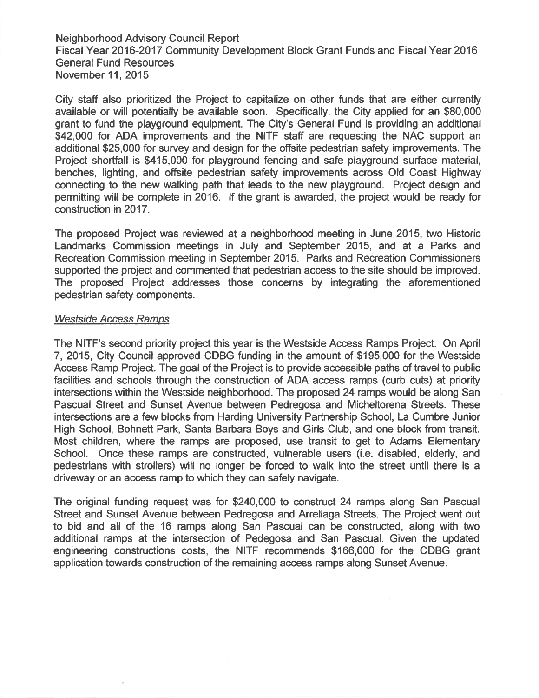Neighborhood Advisory Council Report Fiscal Year 2016-2017 Community Development Block Grant Funds and Fiscal Year 2016 General Fund Resources November11, 2015

City staff also prioritized the Project to capitalize on other funds that are either currently available or will potentially be available soon. Specifically, the City applied for an \$80,000 gran<sup>t</sup> to fund the playground equipment. The City's General Fund is providing an additional \$42,000 for ADA improvements and the NITF staff are requesting the NAC support an additional \$25,000 for survey and design for the offsite pedestrian safety improvements. The Project shortfall is \$415,000 for playground fencing and safe playground surface material, benches, lighting, and offsite pedestrian safety improvements across Old Coast Highway connecting to the new walking path that leads to the new playground. Project design and permitting will be complete in 2016. If the gran<sup>t</sup> is awarded, the project would be ready for construction in 2017.

The proposed Project was reviewed at <sup>a</sup> neighborhood meeting in June 2015, two Historic Landmarks Commission meetings in July and September 2015, and at <sup>a</sup> Parks and Recreation Commission meeting in September 2015. Parks and Recreation Commissioners supported the project and commented that pedestrian access to the site should be improved. The proposed Project addresses those concerns by integrating the aforementioned pedestrian safety components.

#### Westside Access Ramps

The NITF's second priority project this year is the Westside Access Ramps Project. On April 7, 2015, City Council approved CDBG funding in the amount of \$195,000 for the Westside Access Ramp Project. The goal of the Project is to provide accessible paths of travel to public facilities and schools through the construction of ADA access ramps (curb cuts) at priority intersections within the Westside neighborhood. The proposed 24 ramps would be along San Pascual Street and Sunset Avenue between Pedregosa and Micheltorena Streets. These intersections are <sup>a</sup> few blocks from Harding University Partnership School, La Cumbre Junior High School, Bohnett Park, Santa Barbara Boys and Girls Club, and one block from transit. Most children, where the ramps are proposed, use transit to ge<sup>t</sup> to Adams Elementary School. Once these ramps are constructed, vulnerable users (i.e. disabled, elderly, and pedestrians with strollers) will no longer be forced to walk into the street until there is <sup>a</sup> driveway or an access ramp to which they can safely navigate.

The original funding reques<sup>t</sup> was for \$240,000 to construct 24 ramps along San Pascual Street and Sunset Avenue between Pedregosa and Arrellaga Streets. The Project went out to bid and all of the 16 ramps along San Pascual can be constructed, along with two additional ramps at the intersection of Pedegosa and San Pascual. Given the updated engineering constructions costs, the NITF recommends \$166,000 for the CDBG gran<sup>t</sup> application towards construction of the remaining access ramps along Sunset Avenue.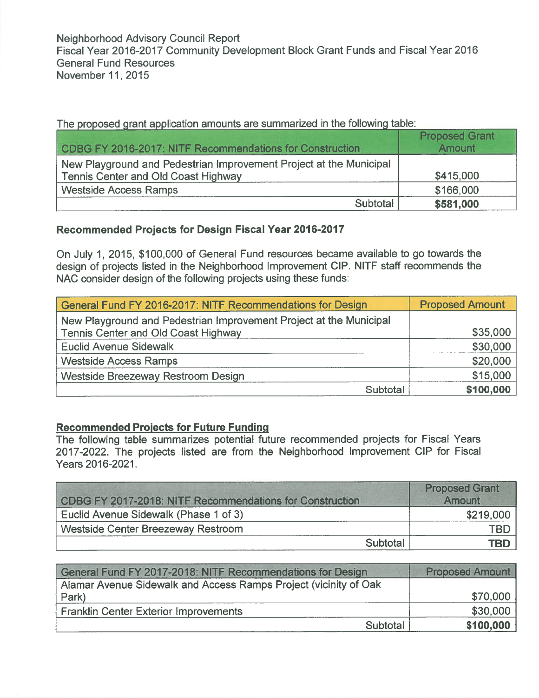| CDBG FY 2016-2017: NITF Recommendations for Construction                                                         | <b>Proposed Grant</b><br><b>Amount</b> |
|------------------------------------------------------------------------------------------------------------------|----------------------------------------|
| New Playground and Pedestrian Improvement Project at the Municipal<br><b>Tennis Center and Old Coast Highway</b> | \$415,000                              |
| <b>Westside Access Ramps</b>                                                                                     | \$166,000                              |
| Subtotal                                                                                                         | \$581,000                              |

The proposed grant application amounts are summarized in the following table

# Recommended Projects for Design Fiscal Year 2016-2017

On July 1, 2015, \$100,000 of General Fund resources became available to go towards the design of projects listed in the Neighborhood Improvement CIP. NITF staff recommends the NAC consider design of the following projects using these funds:

| General Fund FY 2016-2017: NITF Recommendations for Design         | <b>Proposed Amount</b> |
|--------------------------------------------------------------------|------------------------|
| New Playground and Pedestrian Improvement Project at the Municipal |                        |
| Tennis Center and Old Coast Highway                                | \$35,000               |
| <b>Euclid Avenue Sidewalk</b>                                      | \$30,000               |
| <b>Westside Access Ramps</b>                                       | \$20,000               |
| Westside Breezeway Restroom Design                                 | \$15,000               |
| Subtotal                                                           | \$100,000              |

### Recommended Projects for Future Funding

The following table summarizes potential future recommended projects for Fiscal Years 2017-2022. The projects listed are from the Neighborhood Improvement CIP for Fiscal Years 2016-2021.

| CDBG FY 2017-2018: NITF Recommendations for Construction | <b>Proposed Grant</b><br><b>Amount</b> |
|----------------------------------------------------------|----------------------------------------|
| Euclid Avenue Sidewalk (Phase 1 of 3)                    | \$219,000                              |
| <b>Westside Center Breezeway Restroom</b>                | TBD                                    |
| Subtotal                                                 | TBD                                    |

| General Fund FY 2017-2018: NITF Recommendations for Design       | <b>Proposed Amount</b> |
|------------------------------------------------------------------|------------------------|
| Alamar Avenue Sidewalk and Access Ramps Project (vicinity of Oak |                        |
| Park)                                                            | \$70,000               |
| <b>Franklin Center Exterior Improvements</b>                     | \$30,000               |
| Subtotal                                                         | \$100,000              |